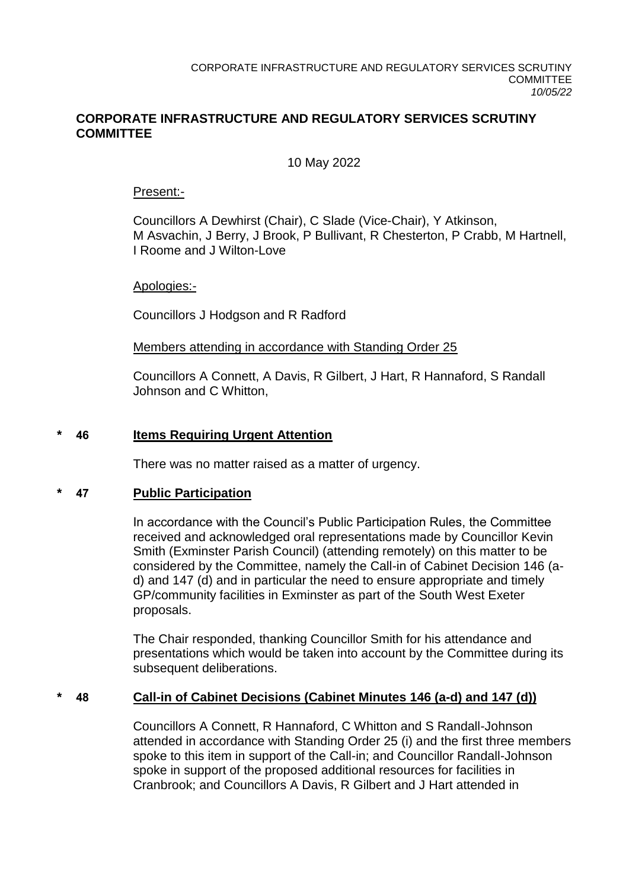## **CORPORATE INFRASTRUCTURE AND REGULATORY SERVICES SCRUTINY COMMITTEE**

## 10 May 2022

#### Present:-

Councillors A Dewhirst (Chair), C Slade (Vice-Chair), Y Atkinson, M Asvachin, J Berry, J Brook, P Bullivant, R Chesterton, P Crabb, M Hartnell, I Roome and J Wilton-Love

## Apologies:-

Councillors J Hodgson and R Radford

## Members attending in accordance with Standing Order 25

Councillors A Connett, A Davis, R Gilbert, J Hart, R Hannaford, S Randall Johnson and C Whitton,

## **\* 46 Items Requiring Urgent Attention**

There was no matter raised as a matter of urgency.

## **\* 47 Public Participation**

In accordance with the Council's Public Participation Rules, the Committee received and acknowledged oral representations made by Councillor Kevin Smith (Exminster Parish Council) (attending remotely) on this matter to be considered by the Committee, namely the Call-in of Cabinet Decision 146 (ad) and 147 (d) and in particular the need to ensure appropriate and timely GP/community facilities in Exminster as part of the South West Exeter proposals.

The Chair responded, thanking Councillor Smith for his attendance and presentations which would be taken into account by the Committee during its subsequent deliberations.

## **\* 48 Call-in of Cabinet Decisions (Cabinet Minutes 146 (a-d) and 147 (d))**

Councillors A Connett, R Hannaford, C Whitton and S Randall-Johnson attended in accordance with Standing Order 25 (i) and the first three members spoke to this item in support of the Call-in; and Councillor Randall-Johnson spoke in support of the proposed additional resources for facilities in Cranbrook; and Councillors A Davis, R Gilbert and J Hart attended in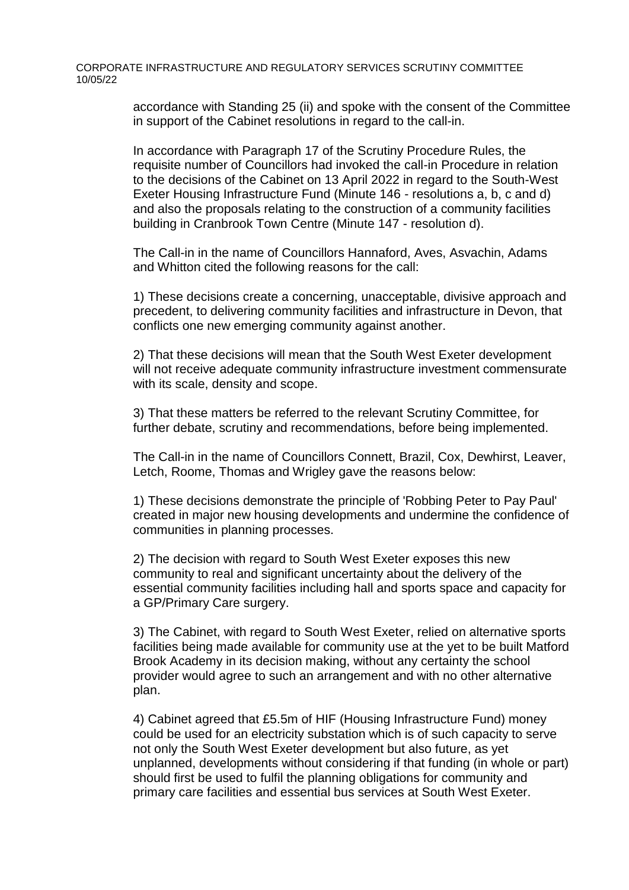CORPORATE INFRASTRUCTURE AND REGULATORY SERVICES SCRUTINY COMMITTEE 10/05/22

> accordance with Standing 25 (ii) and spoke with the consent of the Committee in support of the Cabinet resolutions in regard to the call-in.

In accordance with Paragraph 17 of the Scrutiny Procedure Rules, the requisite number of Councillors had invoked the call-in Procedure in relation to the decisions of the Cabinet on 13 April 2022 in regard to the South-West Exeter Housing Infrastructure Fund (Minute 146 - resolutions a, b, c and d) and also the proposals relating to the construction of a community facilities building in Cranbrook Town Centre (Minute 147 - resolution d).

The Call-in in the name of Councillors Hannaford, Aves, Asvachin, Adams and Whitton cited the following reasons for the call:

1) These decisions create a concerning, unacceptable, divisive approach and precedent, to delivering community facilities and infrastructure in Devon, that conflicts one new emerging community against another.

2) That these decisions will mean that the South West Exeter development will not receive adequate community infrastructure investment commensurate with its scale, density and scope.

3) That these matters be referred to the relevant Scrutiny Committee, for further debate, scrutiny and recommendations, before being implemented.

The Call-in in the name of Councillors Connett, Brazil, Cox, Dewhirst, Leaver, Letch, Roome, Thomas and Wrigley gave the reasons below:

1) These decisions demonstrate the principle of 'Robbing Peter to Pay Paul' created in major new housing developments and undermine the confidence of communities in planning processes.

2) The decision with regard to South West Exeter exposes this new community to real and significant uncertainty about the delivery of the essential community facilities including hall and sports space and capacity for a GP/Primary Care surgery.

3) The Cabinet, with regard to South West Exeter, relied on alternative sports facilities being made available for community use at the yet to be built Matford Brook Academy in its decision making, without any certainty the school provider would agree to such an arrangement and with no other alternative plan.

4) Cabinet agreed that £5.5m of HIF (Housing Infrastructure Fund) money could be used for an electricity substation which is of such capacity to serve not only the South West Exeter development but also future, as yet unplanned, developments without considering if that funding (in whole or part) should first be used to fulfil the planning obligations for community and primary care facilities and essential bus services at South West Exeter.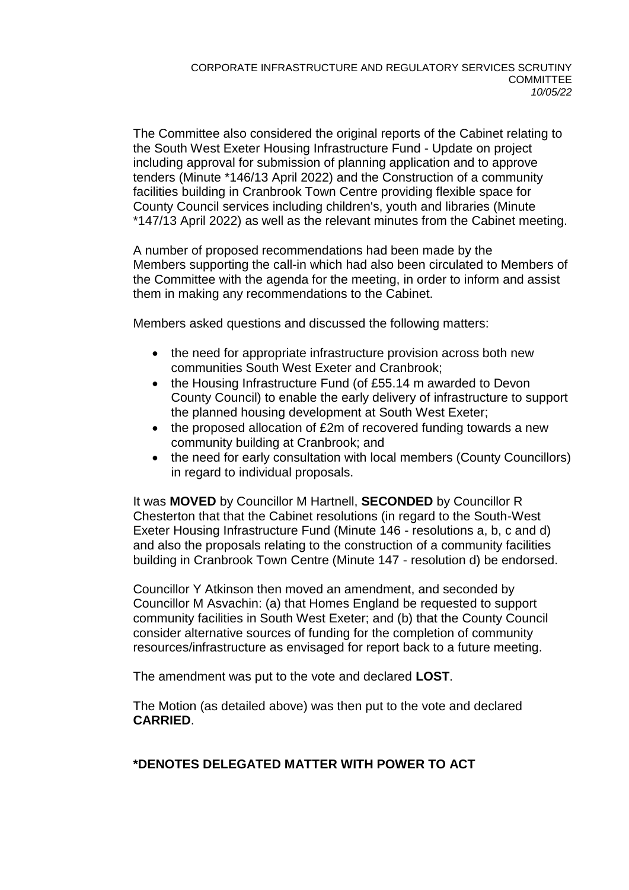The Committee also considered the original reports of the Cabinet relating to the South West Exeter Housing Infrastructure Fund - Update on project including approval for submission of planning application and to approve tenders (Minute \*146/13 April 2022) and the Construction of a community facilities building in Cranbrook Town Centre providing flexible space for County Council services including children's, youth and libraries (Minute \*147/13 April 2022) as well as the relevant minutes from the Cabinet meeting.

A number of proposed recommendations had been made by the Members supporting the call-in which had also been circulated to Members of the Committee with the agenda for the meeting, in order to inform and assist them in making any recommendations to the Cabinet.

Members asked questions and discussed the following matters:

- the need for appropriate infrastructure provision across both new communities South West Exeter and Cranbrook;
- the Housing Infrastructure Fund (of £55.14 m awarded to Devon County Council) to enable the early delivery of infrastructure to support the planned housing development at South West Exeter;
- the proposed allocation of £2m of recovered funding towards a new community building at Cranbrook; and
- the need for early consultation with local members (County Councillors) in regard to individual proposals.

It was **MOVED** by Councillor M Hartnell, **SECONDED** by Councillor R Chesterton that that the Cabinet resolutions (in regard to the South-West Exeter Housing Infrastructure Fund (Minute 146 - resolutions a, b, c and d) and also the proposals relating to the construction of a community facilities building in Cranbrook Town Centre (Minute 147 - resolution d) be endorsed.

Councillor Y Atkinson then moved an amendment, and seconded by Councillor M Asvachin: (a) that Homes England be requested to support community facilities in South West Exeter; and (b) that the County Council consider alternative sources of funding for the completion of community resources/infrastructure as envisaged for report back to a future meeting.

The amendment was put to the vote and declared **LOST**.

The Motion (as detailed above) was then put to the vote and declared **CARRIED**.

# **\*DENOTES DELEGATED MATTER WITH POWER TO ACT**